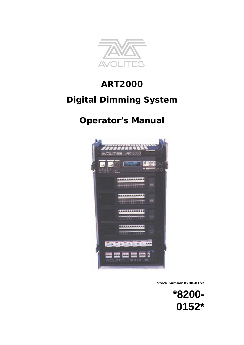

# **ART2000**

# **Digital Dimming System**

# **Operator's Manual**



**Stock number 8200-0152**

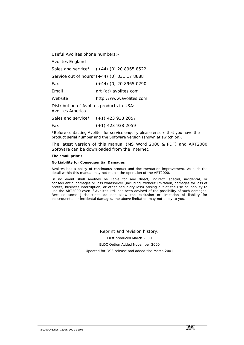Useful Avolites phone numbers:-

Avolites England

Sales and service\* (+44) (0) 20 8965 8522

Service out of hours\* (+44) (0) 831 17 8888

Fax (+44) (0) 20 8965 0290

Email [art \(at\) avolites.com](mailto:name@avolites.com)

Website http://www.avolites.com

Distribution of Avolites products in USA:- Avolites America

Sales and service\* (+1) 423 938 2057

Fax (+1) 423 938 2059

\*Before contacting Avolites for service enquiry please ensure that you have the product serial number and the Software version (shown at switch on).

The latest version of this manual (MS Word 2000 & PDF) and ART2000 Software can be downloaded from the Internet.

#### **The small print :**

#### **No Liability for Consequential Damages**

Avolites has a policy of continuous product and documentation improvement. As such the detail within this manual may not match the operation of the ART2000.

In no event shall Avolites be liable for any direct, indirect, special, incidental, or consequential damages or loss whatsoever (including, without limitation, damages for loss of profits, business interruption, or other pecuniary loss) arising out of the use or inability to use the ART2000 even if Avolites Ltd. has been advised of the possibility of such damages. Because some jurisdictions do not allow the exclusion or limitation of liability for consequential or incidental damages, the above limitation may not apply to you.

> Reprint and revision history: First produced March 2000 ELDC Option Added November 2000 Updated for OS3 release and added tips March 2001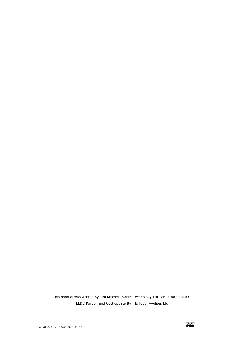This manual was written by Tim Mitchell, Sabre Technology Ltd Tel: 01482 831031 ELDC Portion and OS3 update By J.B.Toby, Avolites Ltd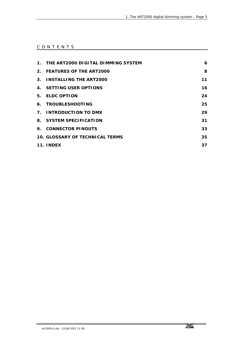### CONTENTS

|                | 1. THE ART2000 DIGITAL DIMMING SYSTEM | 6  |
|----------------|---------------------------------------|----|
|                | 2. FEATURES OF THE ART2000            | 8  |
|                | 3. INSTALLING THE ART2000             | 11 |
|                | 4. SETTING USER OPTIONS               | 16 |
| 5.             | <b>ELDC OPTION</b>                    | 24 |
|                | 6. TROUBLESHOOTING                    | 25 |
| 7 <sub>1</sub> | INTRODUCTION TO DMX                   | 29 |
|                | 8. SYSTEM SPECIFICATION               | 31 |
|                | 9. CONNECTOR PINOUTS                  | 33 |
|                | 10. GLOSSARY OF TECHNICAL TERMS       | 35 |
|                | 11. INDEX                             | 37 |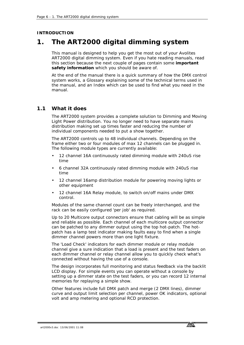### <span id="page-5-0"></span>**INTRODUCTION**

# **1. The ART2000 digital dimming system**

This manual is designed to help you get the most out of your Avolites ART2000 digital dimming system. Even if you hate reading manuals, read this section because the next couple of pages contain some **important safety information** which you should be aware of.

At the end of the manual there is a quick summary of how the DMX control system works, a Glossary explaining some of the technical terms used in the manual, and an Index which can be used to find what you need in the manual.

### **1.1 What it does**

The ART2000 system provides a complete solution to Dimming and Moving Light Power distribution. You no longer need to have separate mains distribution making set up times faster and reducing the number of individual components needed to put a show together.

The ART2000 controls up to 48 individual channels. Depending on the frame either two or four modules of max 12 channels can be plugged in. The following module types are currently available:

- 12 channel 16A continuously rated dimming module with 240uS rise time
- 6 channel 32A continuously rated dimming module with 240uS rise time
- 12 channel 16amp distribution module for powering moving lights or other equipment
- 12 channel 16A Relay module, to switch on/off mains under DMX control.

Modules of the same channel count can be freely interchanged, and the rack can be easily configured 'per job' as required.

Up to 20 Multicore output connectors ensure that cabling will be as simple and reliable as possible. Each channel of each multicore output connector can be patched to any dimmer output using the top hot-patch. The hotpatch has a lamp test indicator making faults easy to find when a single dimmer channel powers more than one light fixture.

The 'Load Check' indicators for each dimmer module or relay module channel give a sure indication that a load is present and the test faders on each dimmer channel or relay channel allow you to quickly check what's connected without having the use of a console.

The design incorporates full monitoring and status feedback via the backlit LCD display. For simple events you can operate without a console by setting up a dimmer state on the test faders, or you can record 12 internal memories for replaying a simple show.

Other features include full DMX patch and merge (2 DMX lines), dimmer curve and output limit selection per channel, power OK indicators, optional volt and amp metering and optional RCD protection.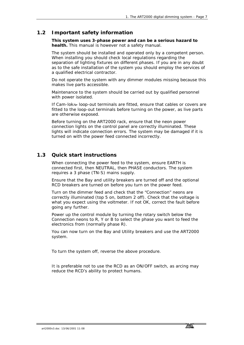### **1.2 Important safety information**

*This system uses 3-phase power and can be a serious hazard to health.* This manual is however not a safety manual.

The system should be installed and operated only by a competent person. When installing you should check local regulations regarding the separation of lighting fixtures on different phases. If you are in any doubt as to the safe installation of the system you should employ the services of a qualified electrical contractor.

Do not operate the system with any dimmer modules missing because this makes live parts accessible.

Maintenance to the system should be carried out by qualified personnel with power isolated.

If Cam-lok loop-out terminals are fitted, ensure that cables or covers are fitted to the loop-out terminals before turning on the power, as live parts are otherwise exposed.

Before turning on the ART2000 rack, ensure that the neon power connection lights on the control panel are correctly illuminated. These lights will indicate connection errors. The system may be damaged if it is turned on with the power feed connected incorrectly.

### **1.3 Quick start instructions**

When connecting the power feed to the system, ensure EARTH is connected first, then NEUTRAL, then PHASE conductors. The system requires a 3 phase (TN-S) mains supply.

Ensure that the Bay and utility breakers are turned off and the optional RCD breakers are turned on before you turn on the power feed.

Turn on the dimmer feed and check that the "Connection" neons are correctly illuminated (top 5 on, bottom 2 off). Check that the voltage is what you expect using the voltmeter. If not OK, correct the fault before going any further.

Power up the control module by turning the rotary switch below the Connection neons to R, Y or B to select the phase you want to feed the electronics from (normally phase R).

You can now turn on the Bay and Utility breakers and use the ART2000 system.

To turn the system off, reverse the above procedure.

It is preferable not to use the RCD as an ON/OFF switch, as arcing may reduce the RCD's ability to protect humans.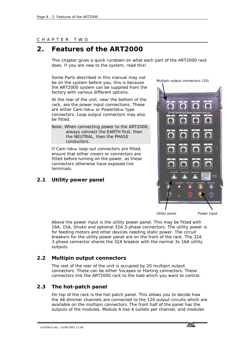#### <span id="page-7-0"></span>CHAPTER TWO

# **2. Features of the ART2000**

This chapter gives a quick rundown on what each part of the ART2000 rack does. If you are new to the system, read this!

Some Parts described in this manual may not be on the system before you, this is because the ART2000 system can be supplied from the factory with various different options.

At the rear of the unit, near the bottom of the rack, are the power input connections. These are either Cam-lok a or Powerlok a type connectors. Loop output connectors may also be fitted.

Note: When connecting power to the ART2000, always connect the EARTH first, then the NEUTRAL, then the PHASE conductors.

If Cam-lok<sup>2</sup> loop-out connectors are fitted, ensure that either covers or connectors are fitted before turning on the power, as these connectors otherwise have exposed live terminals.

### **2.1 Utility power panel**

**MENTION IN THE RESIDENCE OF A STATE OF A STATE OF A STATE OF A STATE OF A STATE OF A STATE OF A ST** Utility panel Power input

Multipin output connectors (20)

Above the power input is the utility power panel. This may be fitted with 16A, 15A, Shuko and optional 32A 3-phase connectors. The utility power is for feeding motors and other devices needing static power. The circuit breakers for the utility power panel are on the front of the rack. The 32A 3-phase connector shares the 32A breaker with the normal 3x 16A utility outputs.

### **2.2 Multipin output connectors**

The rest of the rear of the unit is occupied by 20 multipin output connectors. These can be either Socapex or Harting connectors. These connectors link the ART2000 rack to the load which you want to control.

### **2.3 The hot-patch panel**

On top of the rack is the hot-patch panel. This allows you to decide how the 48 dimmer channels are connected to the 120 output circuits which are available on the multipin connectors. The front half of the panel has the outputs of the modules. Module A has 4 outlets per channel, and modules

art2000v3.doc 13/06/2001 11:08

**tarta**<br>Tarihi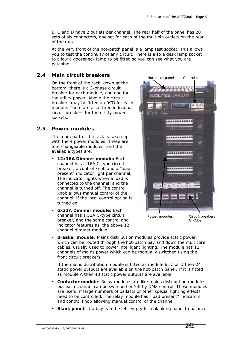B, C and D have 2 outlets per channel. The rear half of the panel has 20 sets of six connectors, one set for each of the multipin outlets on the rear of the rack.

At the very front of the hot-patch panel is a lamp test socket. This allows you to test the continuity of any circuit. There is also a desk lamp socket to allow a gooseneck lamp to be fitted so you can see what you are patching.

# **2.4 Main circuit breakers**

On the front of the rack, down at the bottom, there is a 3-phase circuit breaker for each module, and one for the utility power. Above the circuit breakers may be fitted an RCD for each module. There are also three individual circuit breakers for the utility power sockets.

# **2.5 Power modules**

The main part of the rack is taken up with the 4 power modules. These are interchangeable modules, and the available types are:

- **12x16A Dimmer module:** Each channel has a 16A C-type circuit breaker, a control knob and a "load present" indicator light per channel. The indicator lights when a load is connected to the channel, and the channel is turned off. The control knob allows manual control of the channel, if the local control option is turned on.
- **6x32A Dimmer module:** Each channel has a 32A C-type circuit breaker, and the same control and indicator features as the above 12 channel dimmer module.



Power modules

Circuit breakers & RCDs

• **Breaker module**: Mains distribution modules provide static power, which can be routed through the hot-patch bay and down the multicore cables, usually used to power intelligent lighting. The module has 12 channels of mains power which can be manually switched using the front circuit breakers.

If the mains distribution module is fitted as module B, C or D then 24 static power outputs are available on the hot-patch panel. If it is fitted as module A then 48 static power outputs are available.

- **Contactor module**: Relay modules are like mains distribution modules but each channel can be switched on/off by DMX control. These modules are useful if large numbers of ballasts or other special lighting effects need to be controlled. The relay module has "load present" indicators and control knob allowing manual control of the channel.
- **Blank panel**: If a bay is to be left empty fit a blanking panel to balance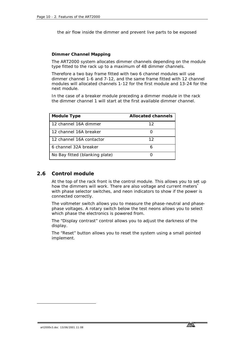the air flow inside the dimmer and prevent live parts to be exposed

#### **Dimmer Channel Mapping**

The ART2000 system allocates dimmer channels depending on the module type fitted to the rack up to a maximum of 48 dimmer channels.

Therefore a two bay frame fitted with two 6 channel modules will use dimmer channel 1-6 and 7-12, and the same frame fitted with 12 channel modules will allocated channels 1-12 for the first module and 13-24 for the next module.

In the case of a breaker module preceding a dimmer module in the rack the dimmer channel 1 will start at the first available dimmer channel.

| Module Type                    | Allocated channels |  |
|--------------------------------|--------------------|--|
| 12 channel 16A dimmer          | 12                 |  |
| 12 channel 16A breaker         |                    |  |
| 12 channel 16A contactor       | 12                 |  |
| 6 channel 32A breaker          | 6                  |  |
| No Bay fitted (blanking plate) |                    |  |

### **2.6 Control module**

At the top of the rack front is the control module. This allows you to set up how the dimmers will work. There are also voltage and current meters<sup>\*</sup> with phase selector switches, and neon indicators to show if the power is connected correctly.

The voltmeter switch allows you to measure the phase-neutral and phasephase voltages. A rotary switch below the test neons allows you to select which phase the electronics is powered from.

The "Display contrast" control allows you to adjust the darkness of the display.

The "Reset" button allows you to reset the system using a small pointed implement.

-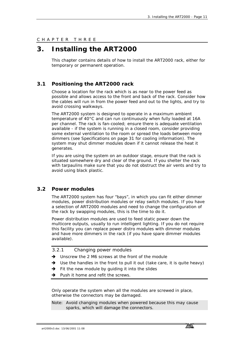<span id="page-10-0"></span>CHAPTER THREE

# **3. Installing the ART2000**

This chapter contains details of how to install the ART2000 rack, either for temporary or permanent operation.

# **3.1 Positioning the ART2000 rack**

Choose a location for the rack which is as near to the power feed as possible and allows access to the front and back of the rack. Consider how the cables will run in from the power feed and out to the lights, and try to avoid crossing walkways.

The ART2000 system is designed to operate in a maximum ambient temperature of 40°C and can run continuously when fully loaded at 16A per channel. The rack is fan-cooled; ensure there is adequate ventilation available - if the system is running in a closed room, consider providing some external ventilation to the room or spread the loads between more dimmers (see Specifications on page [31](#page-30-0) for cooling information). The system may shut dimmer modules down if it cannot release the heat it generates.

If you are using the system on an outdoor stage, ensure that the rack is situated somewhere dry and clear of the ground. If you shelter the rack with tarpaulins make sure that you do not obstruct the air vents and try to avoid using black plastic.

### **3.2 Power modules**

The ART2000 system has four "bays", in which you can fit either dimmer modules, power distribution modules or relay switch modules. If you have a selection of ART2000 modules and need to change the configuration of the rack by swapping modules, this is the time to do it.

Power distribution modules are used to feed static power down the multicore outputs, usually to run intelligent lighting. If you do not require this facility you can replace power distro modules with dimmer modules and have more dimmers in the rack (if you have spare dimmer modules available).

- *3.2.1 Changing power modules*
- *Unscrew the 2 M6 screws at the front of the module*
- → Use the handles in the front to pull it out (take care, it is quite heavy)
- *Fit the new module by guiding it into the slides*
- *Push it home and refit the screws.*

Only operate the system when all the modules are screwed in place, otherwise the connectors may be damaged.

Note: Avoid changing modules when powered because this may cause sparks, which will damage the connectors.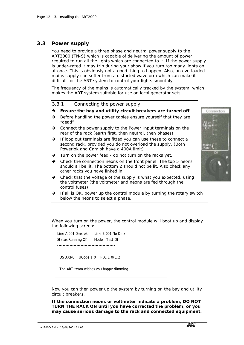### **3.3 Power supply**

You need to provide a three phase and neutral power supply to the ART2000 (TN-S) which is capable of delivering the amount of power required to run all the lights which are connected to it. If the power supply is under-rated it may trip during your show if you turn too many lights on at once. This is obviously not a good thing to happen. Also, an overloaded mains supply can suffer from a distorted waveform which can make it difficult for the ART system to control your lights smoothly.

The frequency of the mains is automatically tracked by the system, which makes the ART system suitable for use on local generator sets.

*3.3.1 Connecting the power supply* 

#### *Ensure the bay and utility circuit breakers are turned off*

- *Before handling the power cables ensure yourself that they are "dead"*
- *Connect the power supply to the Power Input terminals on the rear of the rack (earth first, then neutral, then phases)*
- *If loop out terminals are fitted you can use these to connect a second rack, provided you do not overload the supply. (Both Powerlok and Camlok have a 400A limit)*
- *Turn on the power feed do not turn on the racks yet.*
- *Check the connection neons on the front panel. The top 5 neons should all be lit. The bottom 2 should not be lit. Also check any other racks you have linked in.*
- *Check that the voltage of the supply is what you expected, using the voltmeter (the voltmeter and neons are fed through the control fuses)*
- → If all is OK, power up the control module by turning the rotary switch *below the neons to select a phase.*

When you turn on the power, the control module will boot up and display the following screen:

Line A 001 Dmx ok Line B 001 No Dmx Status Running OK Mode Test Off ------------------------------------------ OS 3.0R0 UCode 1.0 PDE 1.0/1.2 The ART team wishes you happy dimming

Now you can then power up the system by turning on the bay and utility circuit breakers.

**If the connection neons or voltmeter indicate a problem, DO NOT TURN THE RACK ON until you have corrected the problem, or you may cause serious damage to the rack and connected equipment.** 

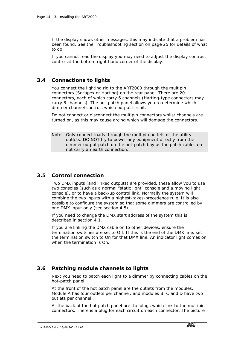If the display shows other messages, this may indicate that a problem has been found. See the Troubleshooting section on page [25](#page-24-0) for details of what to do.

If you cannot read the display you may need to adjust the display contrast control at the bottom right hand corner of the display.

### **3.4 Connections to lights**

You connect the lighting rig to the ART2000 through the multipin connectors (Socapex or Harting) on the rear panel. There are 20 connectors, each of which carry 6 channels (Harting-type connectors may carry 8 channels). The hot-patch panel allows you to determine which dimmer channel controls which output circuit.

Do not connect or disconnect the multipin connectors whilst channels are turned on, as this may cause arcing which will damage the connectors.

Note: Only connect loads through the multipin outlets or the utility outlets. DO NOT try to power any equipment directly from the dimmer output patch on the hot-patch bay as the patch cables do not carry an earth connection.

### **3.5 Control connection**

Two DMX inputs (and linked outputs) are provided, these allow you to use two consoles (such as a normal "static light" console and a moving light console), or to have a back-up control link. Normally the system will combine the two inputs with a highest-takes-precedence rule. It is also possible to configure the system so that some dimmers are controlled by one DMX input only (see section [4.5\)](#page-18-0).

If you need to change the DMX start address of the system this is described in section [4.1.](#page-15-0)

If you are linking the DMX cable on to other devices, ensure the termination switches are set to Off. If this is the end of the DMX line, set the termination switch to On for that DMX line. An indicator light comes on when the termination is On.

### **3.6 Patching module channels to lights**

Next you need to patch each light to a dimmer by connecting cables on the hot-patch panel.

At the front of the hot patch panel are the outlets from the modules. Module A has four outlets per channel, and modules B, C and D have two outlets per channel.

At the back of the hot patch panel are the plugs which link to the multipin connectors. There is a plug for each circuit on each connector. The picture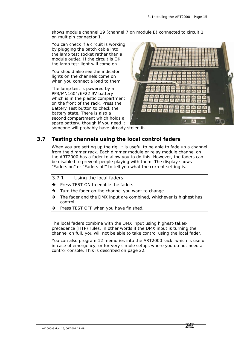shows module channel 19 (channel 7 on module B) connected to circuit 1 on multipin connector 1.

You can check if a circuit is working by plugging the patch cable into the lamp test socket rather than a module outlet. If the circuit is OK the lamp test light will come on.

You should also see the indicator lights on the channels come on when you connect a load to them.

The lamp test is powered by a PP3/MN1604/6F22 9V battery which is in the plastic compartment on the front of the rack. Press the Battery Test button to check the battery state. There is also a second compartment which holds a spare battery, though if you need it



someone will probably have already stolen it.

# **3.7 Testing channels using the local control faders**

When you are setting up the rig, it is useful to be able to fade up a channel from the dimmer rack. Each dimmer module or relay module channel on the ART2000 has a fader to allow you to do this. However, the faders can be disabled to prevent people playing with them. The display shows "Faders on" or "Faders off" to tell you what the current setting is.

### *3.7.1 Using the local faders*

- *Press TEST ON to enable the faders*
- *Turn the fader on the channel you want to change*
- *The fader and the DMX input are combined, whichever is highest has control*
- *Press TEST OFF when you have finished.*

The local faders combine with the DMX input using highest-takesprecedence (HTP) rules, in other words if the DMX input is turning the channel on full, you will not be able to take control using the local fader.

You can also program 12 memories into the ART2000 rack, which is useful in case of emergency, or for very simple setups where you do not need a control console. This is described on page [22.](#page-21-0)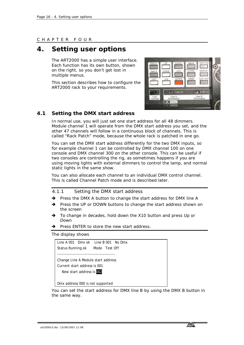#### <span id="page-15-0"></span>CHAPTER FOUR

# **4. Setting user options**

The ART2000 has a simple user interface. Each function has its own button, shown on the right, so you don't get lost in multiple menus.

This section describes how to configure the ART2000 rack to your requirements.



### **4.1 Setting the DMX start address**

In normal use, you will just set one start address for all 48 dimmers. Module channel 1 will operate from the DMX start address you set, and the other 47 channels will follow in a continuous block of channels. This is called "Rack Patch" mode, because the whole rack is patched in one go.

You can set the DMX start address differently for the two DMX inputs, so for example channel 1 can be controlled by DMX channel 100 on one console and DMX channel 300 on the other console. This can be useful if two consoles are controlling the rig, as sometimes happens if you are using moving lights with external dimmers to control the lamp, and normal static lights in the same show.

You can also allocate each channel to an individual DMX control channel. This is called Channel Patch mode and is described later.

- *4.1.1 Setting the DMX start address*
- *Press the DMX A button to change the start address for DMX line A*
- *Press the UP or DOWN buttons to change the start address shown on the screen*
- *To change in decades, hold down the X10 button and press Up or Down*
- *Press ENTER to store the new start address.*

The display shows

|                                    | Line A 001 Dmx ok Line B 001 No Dmx |
|------------------------------------|-------------------------------------|
| Status Running ok Mode Test Off    |                                     |
|                                    |                                     |
| Change Line A Module start address |                                     |
| Current start address is 001       |                                     |
| New start address is 002           |                                     |
|                                    |                                     |
| Dmx address 000 is not supported   |                                     |

You can set the start address for DMX line B by using the DMX B button in the same way.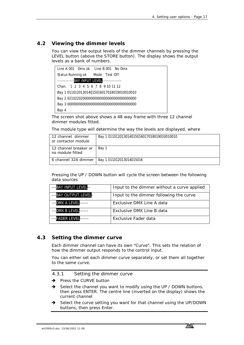### **4.2 Viewing the dimmer levels**

You can view the output levels of the dimmer channels by pressing the LEVEL button (above the STORE button). The display shows the output levels as a bank of numbers.



The screen shot above shows a 48 way frame with three 12 channel dimmer modules fitted.

The module type will determine the way the levels are displayed, where

| l 12 channel dimmer<br>or contactor module | Bay 1 011012013014015016017018019010010010 |
|--------------------------------------------|--------------------------------------------|
| 12 channel breaker or<br>no module fitted  | Bay 1                                      |
| l 6 channel 32A dimmer l                   | Bay 1 011012013014015016                   |

Pressing the UP / DOWN button will cycle the screen between the following data sources

| --- BAY INPUT LEVEL-  | Input to the dimmer without a curve applied |
|-----------------------|---------------------------------------------|
| --- BAY OUTPUT LEVEL- | Input to the dimmer following the curve     |
| --- DMX A LEVEL-      | Exclusive DMX Line A data                   |
| --- DMX B LEVEL       | Exclusive DMX Line B data                   |
| --FADER LEVEL         | Exclusive Fader data                        |

### **4.3 Setting the dimmer curve**

Each dimmer channel can have its own "Curve". This sets the relation of how the dimmer output responds to the control input.

You can either set each dimmer curve separately, or set them all together to the same curve.

*4.3.1 Setting the dimmer curve* 

- *Press the CURVE button*
- *Select the channel you want to modify using the UP / DOWN buttons, then press ENTER. The centre line (inverted on the display) shows the current channel*
- *Select the curve setting you want for that channel using the UP/DOWN buttons, then press Enter.*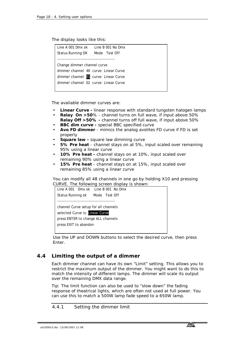The display looks like this:

| Line A 001 Dmx ok Line B 001 No Dmx   |  |
|---------------------------------------|--|
| Status Running OK Mode Test Off       |  |
|                                       |  |
| Change dimmer channel curve           |  |
| dimmer channel 48 curve: Linear Curve |  |
| dimmer channel 01 curve: Linear Curve |  |
| dimmer channel 02 curve: Linear Curve |  |
|                                       |  |

The available dimmer curves are:

- **Linear Curve** linear response with standard tungsten halogen lamps
- **Relay On >50**% channel turns on full wave, if input above 50% **Relay Off >50% -** channel turns off full wave, if input above 50%
- **BBC dim curve** special BBC specified curve
- **Avo FD dimmer** mimics the analog avolites FD curve if FD is set properly
- **Square law** square law dimming curve
- **5% Pre heat** channel stays on at 5%, input scaled over remaining 95% using a linear curve
- **10% Pre heat** channel stays on at 10%, input scaled over remaining 90% using a linear curve
- **15% Pre heat** channel stays on at 15%, input scaled over remaining 85% using a linear curve

You can modify all 48 channels in one go by holding X10 and pressing CURVE. The following screen display is shown:

| Line A 001 Dmx ok Line B 001 No Dmx  |
|--------------------------------------|
| Status Running ok Mode Test Off      |
|                                      |
| channel Curve setup for all channels |
| selected Curve is: Linear Curve      |
| press ENTER to change ALL channels   |
| press EXIT to abandon                |
|                                      |

Use the UP and DOWN buttons to select the desired curve, then press Enter.

### **4.4 Limiting the output of a dimmer**

Each dimmer channel can have its own "Limit" setting. This allows you to restrict the maximum output of the dimmer. You might want to do this to match the intensity of different lamps. The dimmer will scale its output over the remaining DMX data range.

Tip: The limit function can also be used to "slow down" the fading response of theatrical lights, which are often not used at full power. You can use this to match a 500W lamp fade speed to a 650W lamp.

*4.4.1 Setting the dimmer limit* 

art2000v3.doc 13/06/2001 11:08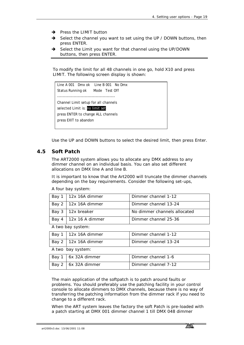- <span id="page-18-0"></span>*Press the LIMIT button*
- *Select the channel you want to set using the UP / DOWN buttons, then press ENTER.*
- *Select the Limit you want for that channel using the UP/DOWN buttons, then press ENTER.*

To modify the limit for all 48 channels in one go, hold X10 and press LIMIT. The following screen display is shown:



Use the UP and DOWN buttons to select the desired limit, then press Enter.

### **4.5 Soft Patch**

The ART2000 system allows you to allocate any DMX address to any dimmer channel on an individual basis. You can also set different allocations on DMX line A and line B.

It is important to know that the Art2000 will truncate the dimmer channels depending on the bay requirements. Consider the following set-ups,

A four bay system:

|                          | Bay $1 \mid 12x$ 16A dimmer | Dimmer channel 1-12          |
|--------------------------|-----------------------------|------------------------------|
|                          | Bay $2 \mid 12x$ 16A dimmer | Dimmer channel 13-24         |
| Bay $3 \mid 12x$ breaker |                             | No dimmer channels allocated |
| Bay 4                    | $12x$ 16 A dimmer           | Dimmer channel 25-36         |

A two bay system:

| Bay 1   12x 16A dimmer         | Dimmer channel 1-12  |
|--------------------------------|----------------------|
| $\vert$ Bay 2   12x 16A dimmer | Dimmer channel 13-24 |

A two bay system:

| Bay 1   6x 32A dimmer | Dimmer channel 1-6  |
|-----------------------|---------------------|
| Bay 2   6x 32A dimmer | Dimmer channel 7-12 |

The main application of the softpatch is to patch around faults or problems. You should preferably use the patching facility in your control console to allocate dimmers to DMX channels, because there is no way of transferring the patching information from the dimmer rack if you need to change to a different rack.

When the ART system leaves the factory the soft Patch is pre-loaded with a patch starting at DMX 001 dimmer channel 1 till DMX 048 dimmer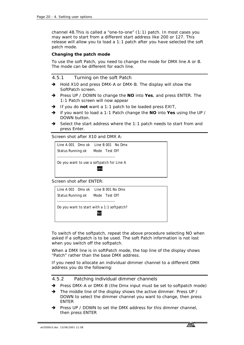channel 48.This is called a "one-to-one" (1:1) patch. In most cases you may want to start from a different start address like 200 or 127. This release will allow you to load a 1:1 patch after you have selected the soft patch mode.

#### **Changing the patch mode**

To use the soft Patch, you need to change the mode for DMX line A or B. The mode can be different for each line.

#### *4.5.1 Turning on the soft Patch*

- *Hold X10 and press DMX-A or DMX-B. The display will show the SoftPatch screen.*
- *Press UP / DOWN to change the NO into Yes, and press ENTER. The 1:1 Patch screen will now appear*
- *If you do not want a 1:1 patch to be loaded press EXIT,*
- *if you want to load a 1:1 Patch change the NO into Yes using the UP / DOWN button.*
- *Select the start address where the 1:1 patch needs to start from and press Enter.*

Screen shot after X10 and DMX A:

```
Line A 001 Dmx ok Line B 001 No Dmx 
Status Running ok Mode Test Off 
 ------------------------------------------ 
Do you want to use a softpatch for Line A 
                         yes
```
Screen shot after ENTER:



To switch of the softpatch, repeat the above procedure selecting NO when asked if a softpatch is to be used. The soft Patch information is not lost when you switch off the softpatch.

When a DMX line is in softPatch mode, the top line of the display shows "Patch" rather than the base DMX address.

If you need to allocate an individual dimmer channel to a different DMX address you do the following:

#### *4.5.2 Patching individual dimmer channels*

- *Press DMX-A or DMX-B (the Dmx input must be set to softpatch mode)*
- *The middle line of the display shows the active dimmer. Press UP / DOWN to select the dimmer channel you want to change, then press ENTER*
- *Press UP / DOWN to set the DMX address for this dimmer channel, then press ENTER*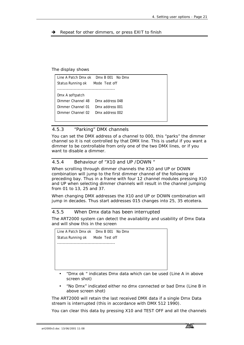*Repeat for other dimmers, or press EXIT to finish* 

The display shows

|                                 | Line A Patch Dmx ok  Dmx B 001  No Dmx |
|---------------------------------|----------------------------------------|
| Status Running ok Mode Test off |                                        |
|                                 |                                        |
| Dmx A softpatch                 |                                        |
| Dimmer Channel 48               | Dmx address 048                        |
| Dimmer Channel 01               | Dmx address 001                        |
| Dimmer Channel 02               | Dmx address 002                        |
|                                 |                                        |

### *4.5.3 "Parking" DMX channels*

You can set the DMX address of a channel to 000, this "parks" the dimmer channel so it is not controlled by that DMX line. This is useful if you want a dimmer to be controllable from only one of the two DMX lines, or if you want to disable a dimmer.

### *4.5.4 Behaviour of "X10 and UP /DOWN "*

When scrolling through dimmer channels the X10 and UP or DOWN combination will jump to the first dimmer channel of the following or preceding bay. Thus in a frame with four 12 channel modules pressing X10 and UP when selecting dimmer channels will result in the channel jumping from 01 to 13, 25 and 37.

When changing DMX addresses the X10 and UP or DOWN combination will jump in decades. Thus start addresses 015 changes into 25, 35 etcetera.

#### *4.5.5 When Dmx data has been interrupted*

The ART2000 system can detect the availability and usability of Dmx Data and will show this in the screen



- "Dmx ok " indicates Dmx data which can be used (Line A in above screen shot)
- "No Dmx" indicated either no dmx connected or bad Dmx (Line B in above screen shot)

The ART2000 will retain the last received DMX data if a single Dmx Data stream is interrupted (this in accordance with DMX 512 1990).

You can clear this data by pressing X10 and TEST OFF and all the channels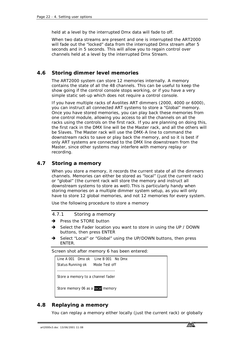<span id="page-21-0"></span>held at a level by the interrupted Dmx data will fade to off.

When two data streams are present and one is interrupted the ART2000 will fade out the "locked" data from the interrupted Dmx stream after 5 seconds and in 5 seconds. This will allow you to regain control over channels held at a level by the interrupted Dmx Stream.

### **4.6 Storing dimmer level memories**

The ART2000 system can store 12 memories internally. A memory contains the state of all the 48 channels. This can be useful to keep the show going if the control console stops working, or if you have a very simple static set-up which does not require a control console.

If you have multiple racks of Avolites ART dimmers (2000, 4000 or 6000), you can instruct all connected ART systems to store a "Global" memory. Once you have stored memories, you can play back these memories from one control module, allowing you access to all the channels on all the racks using the controls on the first rack. If you are planning on doing this, the first rack in the DMX line will be the Master rack, and all the others will be Slaves. The Master rack will use the DMX-A line to command the downstream racks to save or play back the memory, and so it is best if only ART systems are connected to the DMX line downstream from the Master, since other systems may interfere with memory replay or recording.

### **4.7 Storing a memory**

When you store a memory, it records the current state of all the dimmers channels. Memories can either be stored as "local" (just the current rack) or "global" (the current rack will store the memory and instruct all downstream systems to store as well).This is particularly handy when storing memories on a multiple dimmer system setup, as you will only have to store 12 global memories, and not 12 memories for every system.

Use the following procedure to store a memory

#### *4.7.1 Storing a memory*

- *Press the STORE button*
- *Select the Fader location you want to store in using the UP / DOWN buttons, then press ENTER*
- *Select "Local" or "Global" using the UP/DOWN buttons, then press ENTER.*

Screen shot after memory 6 has been entered:

```
Line A 001 Dmx ok Line B 001 No Dmx 
Status Running ok Mode Test off 
------------------------------------------ 
Store a memory to a channel fader 
Store memory 06 as a local memory
```
### **4.8 Replaying a memory**

You can replay a memory either locally (just the current rack) or globally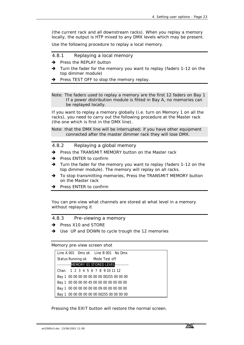(the current rack and all downstream racks). When you replay a memory locally, the output is HTP mixed to any DMX levels which may be present.

Use the following procedure to replay a local memory.

- *4.8.1 Replaying a local memory*
- *Press the REPLAY button*
- *Turn the fader for the memory you want to replay (faders 1-12 on the top dimmer module)*
- *Press TEST OFF to stop the memory replay.*

Note: The faders used to replay a memory are the first 12 faders on Bay 1 If a power distribution module is fitted in Bay A, no memories can be replayed locally.

If you want to replay a memory globally (i.e. turn on Memory 1 on all the racks), you need to carry out the following procedure at the Master rack (the one which is first in the DMX line).

Note: that the DMX line will be interrupted; if you have other equipment connected after the master dimmer rack they will lose DMX.

*4.8.2 Replaying a global memory* 

- *Press the TRANSMIT MEMORY button on the Master rack*
- *Press ENTER to confirm*
- *Turn the fader for the memory you want to replay (faders 1-12 on the top dimmer module). The memory will replay on all racks.*
- *To stop transmitting memories, Press the TRANSMIT MEMORY button on the Master rack*
- *Press ENTER to confirm*

You can pre-view what channels are stored at what level in a memory without replaying it

*4.8.3 Pre-viewing a memory* 

- *Press X10 and STORE*
- *Use UP and DOWN to cycle trough the 12 memories*

Memory pre-view screen shot

| Line A 001 Dmx ok Line B 001 No Dmx          |
|----------------------------------------------|
| Status Running ok Mode Test off              |
| -----------MEMORY 01 STORED LEVEL----------  |
| Chan. 1 2 3 4 5 6 7 8 9 10 11 12             |
| Bay 1 00 00 00 00 00 00 00 00255 00 00 00    |
| Bay 1 00 00 00 00 45 00 00 00 00 00 00 00 00 |
| Bay 1 00 00 00 00 00 00 09 00 00 00 00 00    |
| Bay 1 00 00 00 00 00 00 00255 00 00 00 00    |

Pressing the EXIT button will restore the normal screen.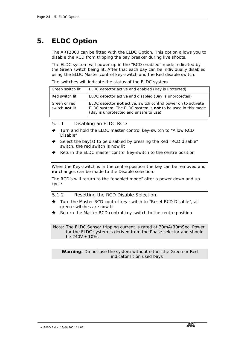# <span id="page-23-0"></span>**5. ELDC Option**

The ART2000 can be fitted with the ELDC Option, This option allows you to disable the RCD from tripping the bay breaker during live shoots.

The ELDC system will power up in the "RCD enabled" mode indicated by the Green switch being lit. After that each bay can be individually disabled using the ELDC Master control key-switch and the Red disable switch.

The switches will indicate the status of the ELDC system

| Green switch lit               | ELDC detector active and enabled (Bay is Protected)                                                                                                                    |
|--------------------------------|------------------------------------------------------------------------------------------------------------------------------------------------------------------------|
| Red switch lit                 | ELDC detector active and disabled (Bay is unprotected)                                                                                                                 |
| Green or red<br>switch not lit | ELDC detector not active, switch control power on to activate<br>ELDC system. The ELDC system is not to be used in this mode<br>(Bay is unprotected and unsafe to use) |

*5.1.1 Disabling an ELDC RCD* 

- *Turn and hold the ELDC master control key-switch to "Allow RCD Disable"*
- *Select the bay(s) to be disabled by pressing the Red "RCD disable" switch, the red switch is now lit*
- *Return the ELDC master control key-switch to the centre position*

When the Key-switch is in the centre position the key can be removed and **no** changes can be made to the Disable selection.

The RCD's will return to the "enabled mode" after a power down and up cycle

*5.1.2 Resetting the RCD Disable Selection.* 

- *Turn the Master RCD control key-switch to "Reset RCD Disable", all green switches are now lit*
- *Return the Master RCD control key-switch to the centre position*

 Note: The ELDC Sensor tripping current is rated at 30mA/30mSec. Power for the ELDC system is derived from the Phase selector and should be 240V ± 10%.

**Warning**: Do not use the system without either the Green or Red indicator lit on used bays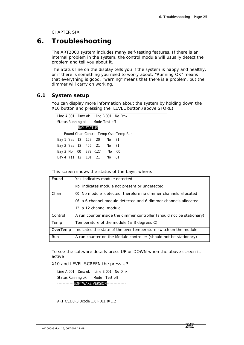CHAPTER SIX

# <span id="page-24-0"></span>**6. Troubleshooting**

The ART2000 system includes many self-testing features. If there is an internal problem in the system, the control module will usually detect the problem and tell you about it.

The Status line on the display tells you if the system is happy and healthy, or if there is something you need to worry about. "Running OK" means that everything is good. "warning" means that there is a problem, but the dimmer will carry on working.

### **6.1 System setup**

You can display more information about the system by holding down the X10 button and pressing the LEVEL button.(above STORE)

| Line A 001 Dmx ok Line B 001 No Dmx               |  |  |                                      |
|---------------------------------------------------|--|--|--------------------------------------|
| Status Running ok Mode Test off                   |  |  |                                      |
| -------------------BAY STATUS-------------------- |  |  |                                      |
|                                                   |  |  | Found Chan Control Temp OverTemp Run |
| Bay 1 Yes 12 123 20 No 81                         |  |  |                                      |
| Bay 2 Yes 12 456 21 No 71                         |  |  |                                      |
| Bay 3 No 00 789 -127 No 00                        |  |  |                                      |
| Bay 4 Yes 12 101 21 No 61                         |  |  |                                      |

This screen shows the status of the bays, where:

| Found    | Yes indicates module detected                                         |
|----------|-----------------------------------------------------------------------|
|          | No indicates module not present or undetected                         |
| Chan     | 00 No module detected therefore no dimmer channels allocated          |
|          | a 6 channel module detected and 6 dimmer channels allocated<br>06.    |
|          | 12 a 12 channel module                                                |
| Control  | A run counter inside the dimmer controller (should not be stationary) |
| Temp     | Temperature of the module ( $\pm$ 3 degrees C)                        |
| OverTemp | Indicates the state of the over temperature switch on the module      |
| Run      | A run counter on the Module controller (should not be stationary)     |

To see the software details press UP or DOWN when the above screen is active

X10 and LEVEL SCREEN the press UP

|                                  | Line A 001 Dmx ok Line B 001 No Dmx |  |
|----------------------------------|-------------------------------------|--|
| Status Running ok Mode Test off  |                                     |  |
|                                  | SOFTWARE VERSION---------------     |  |
|                                  |                                     |  |
|                                  |                                     |  |
| ART OS3.0R0 Ucode 1.0 PDF1.0/1.2 |                                     |  |
|                                  |                                     |  |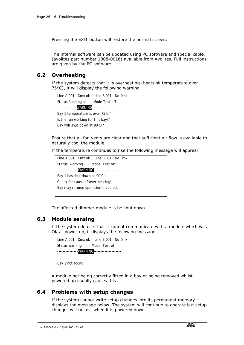Pressing the EXIT button will restore the normal screen.

The internal software can be updated using PC software and special cable, (avolites part number 1808-0016) available from Avolites. Full instructions are given by the PC software.

### **6.2 Overheating**

If the system detects that it is overheating (heatsink temperature over 75°C), it will display the following warning



Ensure that all fan vents are clear and that sufficient air flow is available to naturally cool the module.

If the temperature continues to rise the following message will apprear



The affected dimmer module is be shut down.

### **6.3 Module sensing**

If the system detects that it cannot communicate with a module which was OK at power-up, it displays the following message



A module not being correctly fitted in a bay or being removed whilst powered up usually causes this.

### **6.4 Problems with setup changes**

If the system cannot write setup changes into its permanent memory it displays the message below. The system will continue to operate but setup changes will be lost when it is powered down.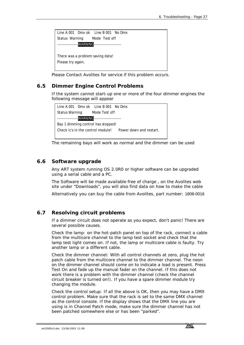

Please Contact Avolites for service if this problem occurs.

### **6.5 Dimmer Engine Control Problems**

If the system cannot start-up one or more of the four dimmer engines the following message will appear

|  | Line A 001 Dmx ok Line B 001 No Dmx          |                         |
|--|----------------------------------------------|-------------------------|
|  | Status Warning Mode Test off                 |                         |
|  | ----------------WARNING--------------------- |                         |
|  | Bay 1 dimming control has stopped!           |                         |
|  | Check ic's in the control module!            | Power down and restart. |
|  |                                              |                         |

The remaining bays will work as normal and the dimmer can be used

### **6.6 Software upgrade**

Any ART system running OS 2.0R0 or higher software can be upgraded using a serial cable and a PC.

The Software will be made available free of charge , on the Avolites web site under "Downloads", you will also find data on how to make the cable

Alternatively you can buy the cable from Avolites, part number: 1808-0016

### **6.7 Resolving circuit problems**

If a dimmer circuit does not operate as you expect, don't panic! There are several possible causes.

Check the lamp: on the hot-patch panel on top of the rack, connect a cable from the multicore channel to the lamp test socket and check that the lamp test light comes on. If not, the lamp or multicore cable is faulty. Try another lamp or a different cable.

Check the dimmer channel: With all control channels at zero, plug the hot patch cable from the multicore channel to the dimmer channel. The neon on the dimmer channel should come on to indicate a load is present. Press Test On and fade up the manual fader on the channel. If this does not work there is a problem with the dimmer channel (check the channel circuit breaker is turned on!). If you have a spare dimmer module try changing the module.

Check the control setup: If all the above is OK, then you may have a DMX control problem. Make sure that the rack is set to the same DMX channel as the control console. If the display shows that the DMX line you are using is in Channel Patch mode, make sure the dimmer channel has not been patched somewhere else or has been "parked".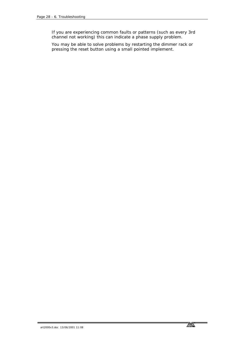If you are experiencing common faults or patterns (such as every 3rd channel not working) this can indicate a phase supply problem.

You may be able to solve problems by restarting the dimmer rack or pressing the reset button using a small pointed implement.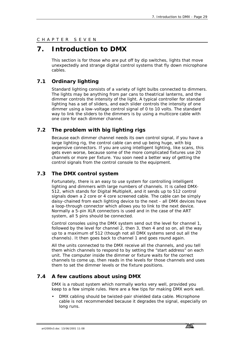### <span id="page-28-0"></span>CHAPTER SEVEN

# **7. Introduction to DMX**

This section is for those who are put off by dip switches, lights that move unexpectedly and strange digital control systems that fly down microphone cables.

### **7.1 Ordinary lighting**

Standard lighting consists of a variety of light bulbs connected to dimmers. The lights may be anything from par cans to theatrical lanterns, and the dimmer controls the intensity of the light. A typical controller for standard lighting has a set of sliders, and each slider controls the intensity of one dimmer using a low-voltage control signal of 0 to 10 volts. The standard way to link the sliders to the dimmers is by using a multicore cable with one core for each dimmer channel.

### **7.2 The problem with big lighting rigs**

Because each dimmer channel needs its own control signal, if you have a large lighting rig, the control cable can end up being huge, with big expensive connectors. If you are using intelligent lighting, like scans, this gets even worse, because some of the more complicated fixtures use 20 channels or more per fixture. You soon need a better way of getting the control signals from the control console to the equipment.

### **7.3 The DMX control system**

Fortunately, there is an easy to use system for controlling intelligent lighting and dimmers with large numbers of channels. It is called DMX-512, which stands for Digital MultipleX, and it sends up to 512 control signals down a 2 core or 4 core screened cable. The cable can be simply daisy-chained from each lighting device to the next - all DMX devices have a loop-through connector which allows you to link to the next device. Normally a 5-pin XLR connectors is used and in the case of the ART system, all 5 pins should be connected.

Control consoles using the DMX system send out the level for channel 1, followed by the level for channel 2, then 3, then 4 and so on, all the way up to a maximum of 512 (though not all DMX systems send out all the channels). It then goes back to channel 1 and goes round again.

All the units connected to the DMX receive all the channels, and you tell them which channels to respond to by setting the "start address" on each unit. The computer inside the dimmer or fixture waits for the correct channels to come up, then reads in the levels for those channels and uses them to set the dimmer levels or the fixture positions.

### **7.4 A few cautions about using DMX**

DMX is a robust system which normally works very well, provided you keep to a few simple rules. Here are a few tips for making DMX work well.

• DMX cabling should be twisted-pair shielded data cable. Microphone cable is not recommended because it degrades the signal, especially on long runs.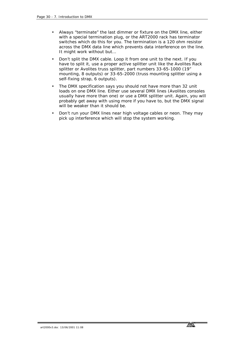- Always "terminate" the last dimmer or fixture on the DMX line, either with a special termination plug, or the ART2000 rack has terminator switches which do this for you. The termination is a 120 ohm resistor across the DMX data line which prevents data interference on the line. It might work without but…
- Don't split the DMX cable. Loop it from one unit to the next. If you have to split it, use a proper active splitter unit like the Avolites Rack splitter or Avolites truss splitter, part numbers 33-65-1000 (19" mounting, 8 outputs) or 33-65-2000 (truss mounting splitter using a self-fixing strap, 6 outputs).
- The DMX specification says you should not have more than 32 unit loads on one DMX line. Either use several DMX lines (Avolites consoles usually have more than one) or use a DMX splitter unit. Again, you will probably get away with using more if you have to, but the DMX signal will be weaker than it should be.
- Don't run your DMX lines near high voltage cables or neon. They may pick up interference which will stop the system working.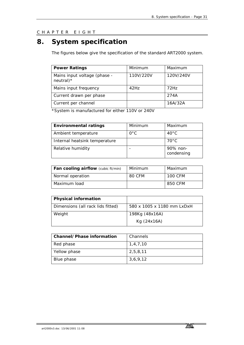<span id="page-30-0"></span>CHAPTER EIGHT

# **8. System specification**

The figures below give the specification of the standard ART2000 system.

| <b>Power Ratings</b>                         | Minimum   | Maximum   |
|----------------------------------------------|-----------|-----------|
| Mains input voltage (phase -<br>$neutral$ )* | 110V/220V | 120V/240V |
| Mains input frequency                        | $42$ Hz   | 72Hz      |
| Current drawn per phase                      |           | 274A      |
| Current per channel                          |           | 16A/32A   |

\*System is manufactured for either 110V or 240V

| <b>Environmental ratings</b>  | Minimum      | Maximum                |
|-------------------------------|--------------|------------------------|
| Ambient temperature           | $O^{\circ}C$ | $40^{\circ}$ C         |
| Internal heatsink temperature |              | $70^{\circ}$ C         |
| Relative humidity             |              | 90% non-<br>condensing |

| Fan cooling airflow (cubic ft/min) | Minimum | Maximum |
|------------------------------------|---------|---------|
| Normal operation                   | 80 CFM  | 100 CFM |
| Maximum load                       |         | 850 CFM |

| Physical information              |                            |
|-----------------------------------|----------------------------|
| Dimensions (all rack lids fitted) | 580 x 1005 x 1180 mm LxDxH |
| Weight                            | 198Kg (48x16A)             |
|                                   | Kg (24x16A)                |

| Channel/Phase information | Channels |
|---------------------------|----------|
| Red phase                 | 1,4,7,10 |
| Yellow phase              | 2,5,8,11 |
| Blue phase                | 3,6,9,12 |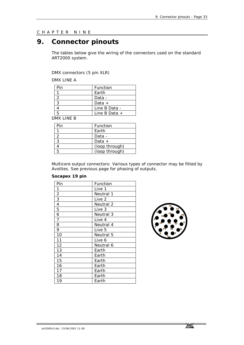### <span id="page-32-0"></span>CHAPTER NINE

# **9. Connector pinouts**

The tables below give the wiring of the connectors used on the standard ART2000 system.

DMX connectors (5 pin XLR)

DMX LINE A

| Pin | Function        |
|-----|-----------------|
|     | Earth           |
|     | Data -          |
|     | Data $+$        |
|     | Line B Data -   |
| Б.  | $line B Data +$ |

DMX LINE B

| Pin | Function       |
|-----|----------------|
|     | Earth          |
|     | Data -         |
|     | Data $+$       |
|     | (loop through) |
| 5   | (loop through) |

Multicore output connectors: Various types of connector may be fitted by Avolites. See previous page for phasing of outputs.

#### **Socapex 19 pin**

| Pin            | Function  |
|----------------|-----------|
| 1              | Live 1    |
| $\frac{2}{3}$  | Neutral 1 |
|                | Live 2    |
| $\overline{4}$ | Neutral 2 |
| 5              | Live 3    |
| 6              | Neutral 3 |
| $\overline{7}$ | Live 4    |
| 8              | Neutral 4 |
| 9              | Live 5    |
| 10             | Neutral 5 |
| 11             | Live 6    |
| 12             | Neutral 6 |
| 13             | Earth     |
| 14             | Earth     |
| 15             | Earth     |
| 16             | Earth     |
| 17             | Earth     |
| 18             | Earth     |
| 19             | Earth     |
|                |           |

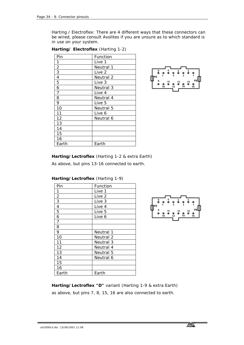Harting / Electroflex: There are 4 different ways that these connectors can be wired, please consult Avolites if you are unsure as to which standard is in use on your system.

| Pin            | Function  |
|----------------|-----------|
| 1              | Live 1    |
| $\frac{2}{3}$  | Neutral 1 |
|                | Live 2    |
| $\overline{4}$ | Neutral 2 |
| 5              | Live 3    |
| 6              | Neutral 3 |
| 7              | Live 4    |
| 8              | Neutral 4 |
| 9              | Live 5    |
| 10             | Neutral 5 |
| 11             | Live 6    |
| 12             | Neutral 6 |
| 13             |           |
| 14             |           |
| 15             |           |
| 16             |           |
| Earth          | Earth     |

**Harting/ Electroflex** (Harting 1-2)



**Harting/Lectroflex** (Harting 1-2 & extra Earth)

As above, but pins 13-16 connected to earth.

| Pin            | Function  |
|----------------|-----------|
|                | Live 1    |
| $\overline{2}$ | Live 2    |
| $\overline{3}$ | Live 3    |
| 4              | Live 4    |
| 5              | Live 5    |
| 6              | Live 6    |
| 7              |           |
| 8              |           |
| 9              | Neutral 1 |
| 10             | Neutral 2 |
| 11             | Neutral 3 |
| 12             | Neutral 4 |
| 13             | Neutral 5 |
| 14             | Neutral 6 |
| 15             |           |
| 16             |           |
| Earth          | Earth     |





**Harting/Lectroflex "D"** variant (Harting 1-9 & extra Earth) as above, but pins 7, 8, 15, 16 are also connected to earth.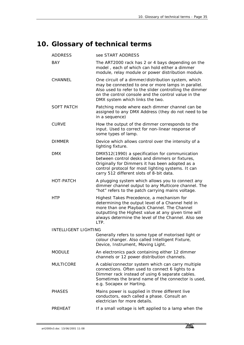# <span id="page-34-0"></span>**10. Glossary of technical terms**

| <b>ADDRESS</b>              | see START ADDRESS                                                                                                                                                                                                                                                   |  |
|-----------------------------|---------------------------------------------------------------------------------------------------------------------------------------------------------------------------------------------------------------------------------------------------------------------|--|
| <b>BAY</b>                  | The ART2000 rack has 2 or 4 bays depending on the<br>model, each of which can hold either a dimmer<br>module, relay module or power distribution module.                                                                                                            |  |
| CHANNEL                     | One circuit of a dimmer/distribution system, which<br>may be connected to one or more lamps in parallel.<br>Also used to refer to the slider controlling the dimmer<br>on the control console and the control value in the<br>DMX system which links the two.       |  |
| <b>SOFT PATCH</b>           | Patching mode where each dimmer channel can be<br>assigned to any DMX Address (they do not need to be<br>in a sequence)                                                                                                                                             |  |
| <b>CURVE</b>                | How the output of the dimmer corresponds to the<br>input. Used to correct for non-linear response of<br>some types of lamp.                                                                                                                                         |  |
| <b>DIMMER</b>               | Device which allows control over the intensity of a<br>lighting fixture.                                                                                                                                                                                            |  |
| <b>DMX</b>                  | DMX512(1990) a specification for communication<br>between control desks and dimmers or fixtures,<br>Originally for Dimmers it has been adopted as a<br>control protocol for most lighting systems. It can<br>carry 512 different slots of 8-bit data.               |  |
| HOT-PATCH                   | A plugging system which allows you to connect any<br>dimmer channel output to any Multicore channel. The<br>"hot" refers to the patch carrying mains voltage.                                                                                                       |  |
| <b>HTP</b>                  | Highest Takes Precedence, a mechanism for<br>determining the output level of a Channel held in<br>more than one Playback Channel. The Channel<br>outputting the Highest value at any given time will<br>always determine the level of the Channel. Also see<br>LTP. |  |
| <b>INTELLIGENT LIGHTING</b> |                                                                                                                                                                                                                                                                     |  |
|                             | Generally refers to some type of motorised light or<br>colour changer. Also called Intelligent Fixture,<br>Device, Instrument, Moving Light.                                                                                                                        |  |
| <b>MODULE</b>               | An electronics pack containing either 12 dimmer<br>channels or 12 power distribution channels.                                                                                                                                                                      |  |
| <b>MULTICORE</b>            | A cable/connector system which can carry multiple<br>connections. Often used to connect 6 lights to a<br>Dimmer rack instead of using 6 separate cables.<br>Sometimes the brand name of the connector is used.<br>e.g. Socapex or Harting.                          |  |
| <b>PHASES</b>               | Mains power is supplied in three different live<br>conductors, each called a phase. Consult an<br>electrician for more details.                                                                                                                                     |  |
| PREHEAT                     | If a small voltage is left applied to a lamp when the                                                                                                                                                                                                               |  |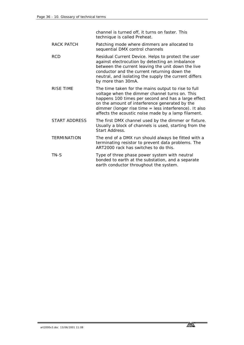channel is turned off, it turns on faster. This technique is called Preheat.

- RACK PATCH Patching mode where dimmers are allocated to sequential DMX control channels
- RCD Residual Current Device. Helps to protect the user against electrocution by detecting an imbalance between the current leaving the unit down the live conductor and the current returning down the neutral, and isolating the supply the current differs by more than 30mA.
- RISE TIME The time taken for the mains output to rise to full voltage when the dimmer channel turns on. This happens 100 times per second and has a large effect on the amount of interference generated by the dimmer (longer rise time = less interference). It also affects the acoustic noise made by a lamp filament.
- START ADDRESS The first DMX channel used by the dimmer or fixture. Usually a block of channels is used, starting from the Start Address.
- TERMINATION The end of a DMX run should always be fitted with a terminating resistor to prevent data problems. The ART2000 rack has switches to do this.
- TN-S Type of three phase power system with neutral bonded to earth at the substation, and a separate earth conductor throughout the system.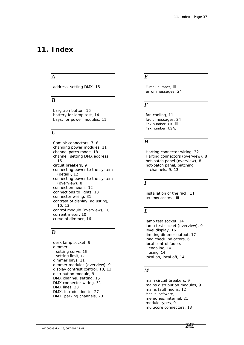# <span id="page-36-0"></span>**11. Index**

### *A*

address, setting DMX, 15

### *B*

bargraph button, 16 battery for lamp test, 14 bays, for power modules, 11

# *C*

Camlok connectors, 7, 8 changing power modules, 11 channel patch mode, 18 channel, setting DMX address, 15 circuit breakers, 9 connecting power to the system (detail), 12 connecting power to the system (overview), 8 connection neons, 12 connections to lights, 13 connector wiring, 31 contrast of display, adjusting, 10, 13 control module (overview), 10 current meter, 10 curve of dimmer, 16

# *D*

desk lamp socket, 9 dimmer setting curve, 16 setting limit, 17 dimmer bays, 11 dimmer modules (overview), 9 display contrast control, 10, 13 distribution module, 9 DMX channel, setting, 15 DMX connector wiring, 31 DMX lines, 28 DMX, introduction to, 27 DMX, parking channels, 20

### *E*

E-mail number, iii error messages, 24

### *F*

fan cooling, 11 fault messages, 24 Fax number, UK, iii Fax number, USA, iii

### *H*

Harting connector wiring, 32 Harting connectors (overview), 8 hot-patch panel (overview), 8 hot-patch panel, patching channels, 9, 13

### *I*

installation of the rack, 11 Internet address, iii

# *L*

lamp test socket, 14 lamp test socket (overview), 9 level display, 16 limiting dimmer output, 17 load check indicators, 6 local control faders enabling, 14 using, 14 local on, local off, 14

### *M*

main circuit breakers, 9 mains distribution modules, 9 mains fault neons, 12 Manual software, iii memories, internal, 21 module types, 9 multicore connectors, 13